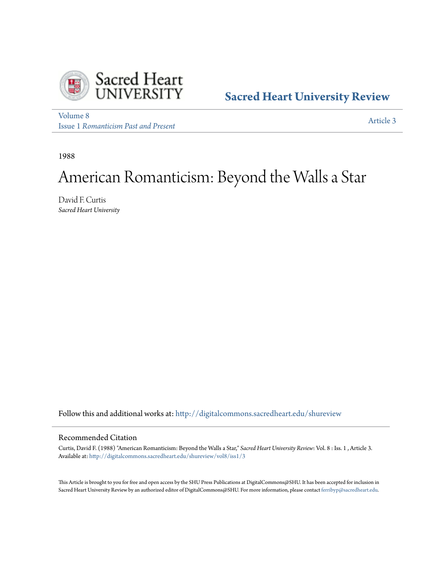

## **[Sacred Heart University Review](http://digitalcommons.sacredheart.edu/shureview?utm_source=digitalcommons.sacredheart.edu%2Fshureview%2Fvol8%2Fiss1%2F3&utm_medium=PDF&utm_campaign=PDFCoverPages)**

[Volume 8](http://digitalcommons.sacredheart.edu/shureview/vol8?utm_source=digitalcommons.sacredheart.edu%2Fshureview%2Fvol8%2Fiss1%2F3&utm_medium=PDF&utm_campaign=PDFCoverPages) Issue 1 *[Romanticism Past and Present](http://digitalcommons.sacredheart.edu/shureview/vol8/iss1?utm_source=digitalcommons.sacredheart.edu%2Fshureview%2Fvol8%2Fiss1%2F3&utm_medium=PDF&utm_campaign=PDFCoverPages)*

[Article 3](http://digitalcommons.sacredheart.edu/shureview/vol8/iss1/3?utm_source=digitalcommons.sacredheart.edu%2Fshureview%2Fvol8%2Fiss1%2F3&utm_medium=PDF&utm_campaign=PDFCoverPages)

1988

# American Romanticism: Beyond the Walls a Star

David F. Curtis *Sacred Heart University*

Follow this and additional works at: [http://digitalcommons.sacredheart.edu/shureview](http://digitalcommons.sacredheart.edu/shureview?utm_source=digitalcommons.sacredheart.edu%2Fshureview%2Fvol8%2Fiss1%2F3&utm_medium=PDF&utm_campaign=PDFCoverPages)

### Recommended Citation

Curtis, David F. (1988) "American Romanticism: Beyond the Walls a Star," *Sacred Heart University Review*: Vol. 8 : Iss. 1 , Article 3. Available at: [http://digitalcommons.sacredheart.edu/shureview/vol8/iss1/3](http://digitalcommons.sacredheart.edu/shureview/vol8/iss1/3?utm_source=digitalcommons.sacredheart.edu%2Fshureview%2Fvol8%2Fiss1%2F3&utm_medium=PDF&utm_campaign=PDFCoverPages)

This Article is brought to you for free and open access by the SHU Press Publications at DigitalCommons@SHU. It has been accepted for inclusion in Sacred Heart University Review by an authorized editor of DigitalCommons@SHU. For more information, please contact [ferribyp@sacredheart.edu](mailto:ferribyp@sacredheart.edu).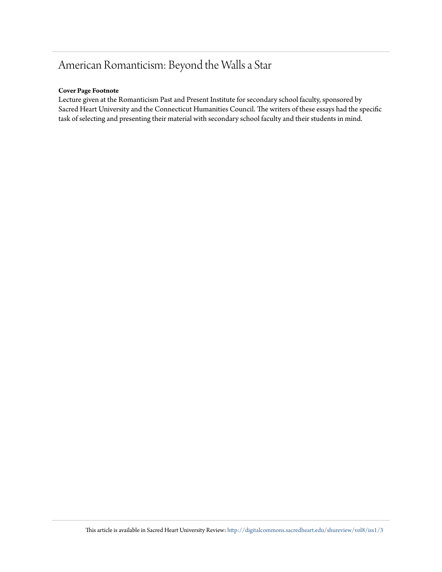# American Romanticism: Beyond the Walls a Star

### **Cover Page Footnote**

Lecture given at the Romanticism Past and Present Institute for secondary school faculty, sponsored by Sacred Heart University and the Connecticut Humanities Council. The writers of these essays had the specific task of selecting and presenting their material with secondary school faculty and their students in mind.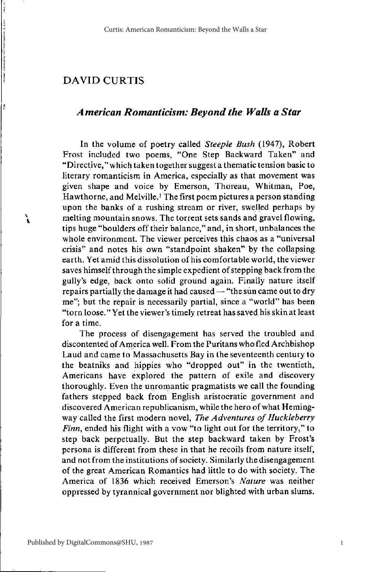### American Romanticism: Bevond the Walls a Star

In the volume of poetry called Steeple Bush (1947), Robert Frost included two poems, "One Step Backward Taken" and "Directive," which taken together suggest a thematic tension basic to literary romanticism in America, especially as that movement was given shape and voice by Emerson, Thoreau, Whitman, Poe, Hawthorne, and Melville.<sup>1</sup> The first poem pictures a person standing upon the banks of a rushing stream or river, swelled perhaps by melting mountain snows. The torrent sets sands and gravel flowing, tips huge "boulders off their balance," and, in short, unbalances the whole environment. The viewer perceives this chaos as a "universal crisis" and notes his own "standpoint shaken" by the collapsing earth. Yet amid this dissolution of his comfortable world, the viewer saves himself through the simple expedient of stepping back from the gully's edge, back onto solid ground again. Finally nature itself repairs partially the damage it had caused — "the sun came out to dry me"; but the repair is necessarily partial, since a "world" has been "torn loose." Yet the viewer's timely retreat has saved his skin at least for a time.

The process of disengagement has served the troubled and discontented of America well. From the Puritans who fled Archbishop Laud and came to Massachusetts Bay in the seventeenth century to the beatniks and hippies who "dropped out" in the twentieth, Americans have explored the pattern of exile and discovery thoroughly. Even the unromantic pragmatists we call the founding fathers stepped back from English aristocratic government and discovered American republicanism, while the hero of what Hemingway called the first modern novel, The Adventures of Huckleberry Finn, ended his flight with a vow "to light out for the territory," to step back perpetually. But the step backward taken by Frost's persona is different from these in that he recoils from nature itself, and not from the institutions of society. Similarly the disengagement of the great American Romantics had little to do with society. The America of 1836 which received Emerson's Nature was neither oppressed by tyrannical government nor blighted with urban slums.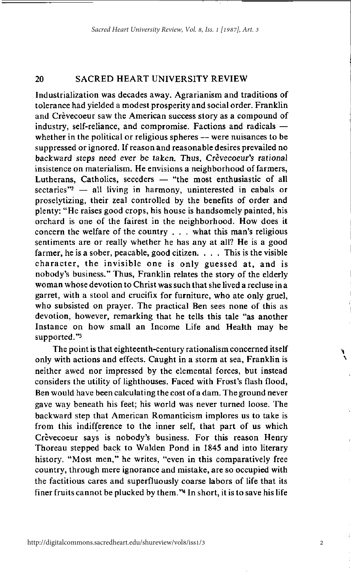Industrialization was decades away. Agrarianism and traditions of tolerance had yielded a modest prosperity and social order. Franklin and Crèvecoeur saw the American success story as a compound of industry, self-reliance, and compromise. Factions and radicals whether in the political or religious spheres — were nuisances to be suppressed or ignored. If reason and reasonable desires prevailed no hackward steps need ever be taken. Thus. Crèvecoeur's rational insistence on materialism. He envisions a neighborhood of farmers, Lutherans, Catholics, seceders - "the most enthusiastic of all sectaries $"2 -$  all living in harmony, uninterested in cabals or proselytizing, their zeal controlled by the benefits of order and plenty: "He raises good crops, his house is handsomely painted, his orchard is one of the fairest in the neighborhood. How does it concern the welfare of the country  $\ldots$  what this man's religious sentiments are or really whether he has any at all? He is a good farmer, he is a sober, peacable, good citizen.  $\ldots$ . This is the visible character, the invisible one is only guessed at, and is nobody's business." Thus, Franklin relates the story of the elderly woman whose devotion to Christ was such that she lived a recluse in a garret, with a stool and crucifix for furniture, who ate only gruel, who subsisted on prayer. The practical Ben sees none of this as devotion, however, remarking that he tells this tale "as another Instance on how small an Income Life and Health may be supported."3

The point is that eighteenth-century rationalism concerned itself only with actions and effects. Caught in a storm at sea, Franklin is neither awed nor impressed by the elemental forces, but instead considers the utility of lighthouses. Faced with Frost's flash flood, Ben would have been calculating the cost of a dam. The ground never gave way beneath his feet; his world was never turned loose. The backward step that American Romanticism implores us to take is from this indifference to the inner self, that part of us which Crèvecoeur says is nobody's business. For this reason Henry Thoreau stepped back to Walden Pond in 1845 and into literary history. "Most men," he writes, "even in this comparatively free country, through mere ignorance and mistake, are so occupied with the factitious cares and superfluously coarse labors of life that its finer fruits cannot be plucked by them."<sup>4</sup> In short, it is to save his life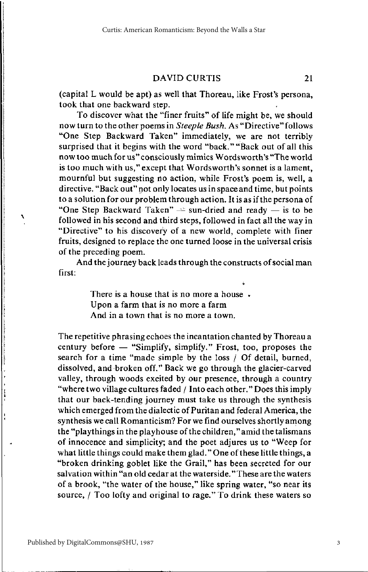21

(capital L would be apt) as well that Thoreau, like Frost's persona, took that one backward step.

To discover what the "finer fruits" of life might be, we should now turn to the other poems in Steeple Bush. As "Directive" follows "One Step Backward Taken" immediately, we are not terribly surprised that it begins with the word "back." "Back out of all this now too much for us" consciously mimics Wordsworth's "The world is too much with us," except that Wordsworth's sonnet is a lament, mournful but suggesting no action, while Frost's poem is, well, a directive. "Back out" not only locates us in space and time, but points to a solution for our problem through action. It is as if the persona of "One Step Backward Taken"  $\Rightarrow$  sun-dried and ready  $-$  is to be followed in his second and third steps, followed in fact all the way in "Directive" to his discovery of a new world, complete with finer fruits, designed to replace the one turned loose in the universal crisis of the preceding poem.

And the journey back leads through the constructs of social man first:

> There is a house that is no more a house. Upon a farm that is no more a farm And in a town that is no more a town.

The repetitive phrasing echoes the incantation chanted by Thoreau a century before - "Simplify, simplify." Frost, too, proposes the search for a time "made simple by the loss / Of detail, burned, dissolved, and broken off." Back we go through the glacier-carved valley, through woods excited by our presence, through a country "where two village cultures faded / Into each other." Does this imply that our back-tending journey must take us through the synthesis which emerged from the dialectic of Puritan and federal America, the synthesis we call Romanticism? For we find ourselves shortly among the "playthings in the playhouse of the children," amid the talismans of innocence and simplicity; and the poet adjures us to "Weep for what little things could make them glad." One of these little things, a "broken drinking goblet like the Grail," has been secreted for our salvation within "an old cedar at the waterside." These are the waters of a brook, "the water of the house," like spring water, "so near its source, / Too lofty and original to rage." To drink these waters so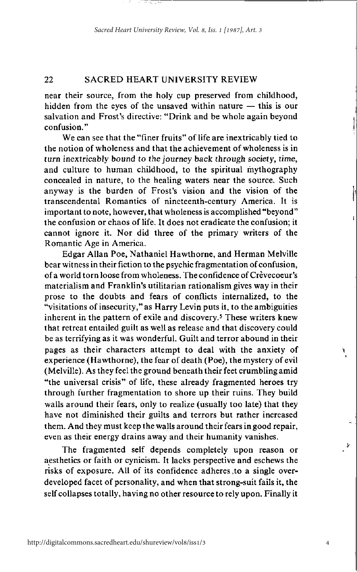near their source, from the holy cup preserved from childhood, hidden from the eves of the unsaved within nature  $-$  this is our salvation and Frost's directive: "Drink and be whole again beyond confusion."

We can see that the "finer fruits" of life are inextricably tied to the notion of wholeness and that the achievement of wholeness is in turn inextricably bound to the journey back through society, time, and culture to human childhood, to the spiritual mythography concealed in nature, to the healing waters near the source. Such anyway is the burden of Frost's vision and the vision of the transcendental Romantics of nineteenth-century America. It is important to note, however, that wholeness is accomplished "beyond" the confusion or chaos of life. It does not eradicate the confusion; it cannot ignore it. Nor did three of the primary writers of the Romantic Age in America.

Edgar Allan Poe, Nathaniel Hawthorne, and Herman Melville bear witness in their fiction to the psychic fragmentation of confusion, of a world torn loose from wholeness. The confidence of Crèvecoeur's materialism and Franklin's utilitarian rationalism gives way in their prose to the doubts and fears of conflicts internalized, to the "visitations of insecurity," as Harry Levin puts it, to the ambiguities inherent in the pattern of exile and discovery.<sup>5</sup> These writers knew that retreat entailed guilt as well as release and that discovery could be as terrifying as it was wonderful. Guilt and terror abound in their pages as their characters attempt to deal with the anxiety of experience (Hawthorne), the fear of death (Poe), the mystery of evil (Melville). As they feel the ground beneath their feet crumbling amid "the universal crisis" of life, these already fragmented heroes try through further fragmentation to shore up their ruins. They build walls around their fears, only to realize (usually too late) that they have not diminished their guilts and terrors but rather increased them. And they must keep the walls around their fears in good repair, even as their energy drains away and their humanity vanishes.

The fragmented self depends completely upon reason or aesthetics or faith or cynicism. It lacks perspective and eschews the risks of exposure. All of its confidence adheres to a single overdeveloped facet of personality, and when that strong-suit fails it, the self collapses totally, having no other resource to rely upon. Finally it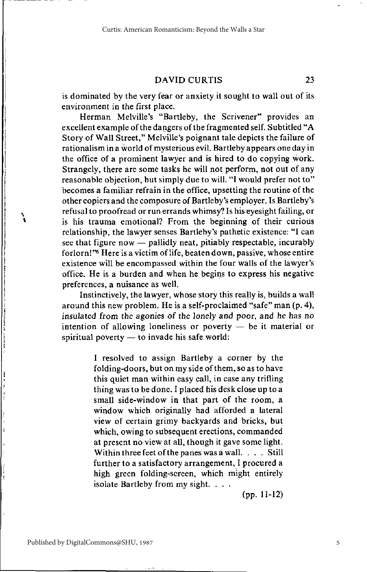is dominated by the very fear or anxiety it sought to wall out of its environment in the first place.

Herman Melville's "Bartleby, the Scrivener" provides an excellent example of the dangers of the fragmented self. Subtitled "A Story of Wall Street," Melville's poignant tale depicts the failure of rationalism in a world of mysterious evil. Bartleby appears one day in the office of a prominent lawyer and is hired to do copying work. Strangely, there are some tasks he will not perform, not out of any reasonable objection, but simply due to will. "I would prefer not to" becomes a familiar refrain in the office, upsetting the routine of the other copiers and the composure of Bartleby's employer. Is Bartleby's refusal to proofread or run errands whimsy? Is his evesight failing, or is his trauma emotional? From the beginning of their curious relationship, the lawyer senses Bartleby's pathetic existence: "I can see that figure now — pallidly neat, pitiably respectable, incurably forlorn!"<sup>6</sup> Here is a victim of life, beaten down, passive, whose entire existence will be encompassed within the four walls of the lawyer's office. He is a burden and when he begins to express his negative preferences, a nuisance as well,

Instinctively, the lawyer, whose story this really is, builds a wall around this new problem. He is a self-proclaimed "safe" man (p. 4), insulated from the agonies of the lonely and poor, and he has no intention of allowing loneliness or poverty  $-$  be it material or spiritual poverty - to invade his safe world:

> I resolved to assign Bartleby a corner by the folding-doors, but on my side of them, so as to have this quiet man within easy call, in case any trifling thing was to be done. I placed his desk close up to a small side-window in that part of the room, a window which originally had afforded a lateral view of certain grimy backyards and bricks, but which, owing to subsequent erections, commanded at present no view at all, though it gave some light. Within three feet of the panes was a wall. . . . Still further to a satisfactory arrangement, I procured a high green folding-screen, which might entirely isolate Bartleby from my sight. . . .

> > $(pp. 11-12)$

23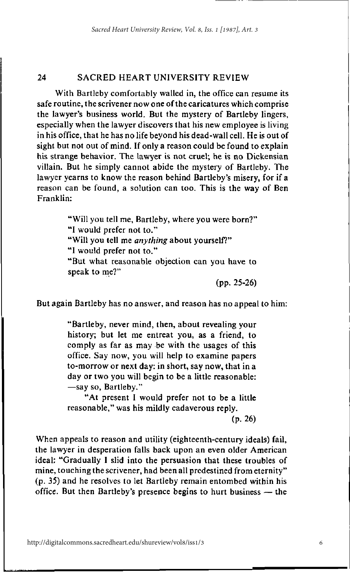With Bartleby comfortably walled in, the office can resume its safe routine, the scrivener now one of the caricatures which comprise the lawyer's business world. But the mystery of Bartleby lingers, especially when the lawyer discovers that his new employee is living in his office, that he has no life beyond his dead-wall cell. He is out of sight but not out of mind. If only a reason could be found to explain his strange behavior. The lawver is not cruel; he is no Dickensian villain. But he simply cannot abide the mystery of Bartleby. The lawyer yearns to know the reason behind Bartleby's misery, for if a reason can be found, a solution can too. This is the way of Ben Franklin:

> "Will you tell me, Bartleby, where you were born?" "I would prefer not to." "Will you tell me anything about yourself?" "I would prefer not to." "But what reasonable objection can you have to speak to me?"

> > $(pp. 25-26)$

But again Bartleby has no answer, and reason has no appeal to him:

"Bartleby, never mind, then, about revealing your history; but let me entreat you, as a friend, to comply as far as may be with the usages of this office. Say now, you will help to examine papers to-morrow or next day: in short, say now, that in a day or two you will begin to be a little reasonable: -say so, Bartleby."

"At present I would prefer not to be a little reasonable," was his mildly cadaverous reply.

 $(p. 26)$ 

When appeals to reason and utility (eighteenth-century ideals) fail, the lawyer in desperation falls back upon an even older American ideal: "Gradually I slid into the persuasion that these troubles of mine, touching the scrivener, had been all predestined from eternity" (p. 35) and he resolves to let Bartleby remain entombed within his office. But then Bartleby's presence begins to hurt business  $-$  the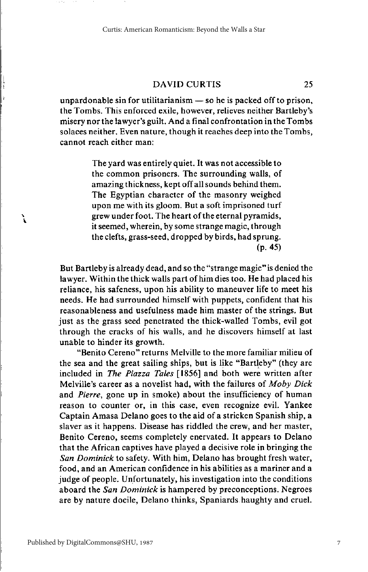25

unpardonable sin for utilitarianism  $-$  so he is packed off to prison, the Tombs. This enforced exile, however, relieves neither Bartleby's misery nor the lawyer's guilt. And a final confrontation in the Tombs solaces neither. Even nature, though it reaches deep into the Tombs. cannot reach either man:

> The vard was entirely quiet. It was not accessible to the common prisoners. The surrounding walls, of amazing thickness, kept off all sounds behind them. The Egyptian character of the masonry weighed upon me with its gloom. But a soft imprisoned turf grew under foot. The heart of the eternal pyramids, it seemed, wherein, by some strange magic, through the clefts, grass-seed, dropped by birds, had sprung.  $(p. 45)$

But Bartleby is already dead, and so the "strange magic" is denied the lawyer. Within the thick walls part of him dies too. He had placed his reliance, his safeness, upon his ability to maneuver life to meet his needs. He had surrounded himself with puppets, confident that his reasonableness and usefulness made him master of the strings. But just as the grass seed penetrated the thick-walled Tombs, evil got through the cracks of his walls, and he discovers himself at last unable to hinder its growth.

"Benito Cereno" returns Melville to the more familiar milieu of the sea and the great sailing ships, but is like "Bartleby" (they are included in The Piazza Tales [1856] and both were written after Melville's career as a novelist had, with the failures of Moby Dick and Pierre, gone up in smoke) about the insufficiency of human reason to counter or, in this case, even recognize evil. Yankee Captain Amasa Delano goes to the aid of a stricken Spanish ship, a slaver as it happens. Disease has riddled the crew, and her master, Benito Cereno, seems completely enervated. It appears to Delano that the African captives have played a decisive role in bringing the San Dominick to safety. With him, Delano has brought fresh water, food, and an American confidence in his abilities as a mariner and a judge of people. Unfortunately, his investigation into the conditions aboard the San Dominick is hampered by preconceptions. Negroes are by nature docile, Delano thinks, Spaniards haughty and cruel.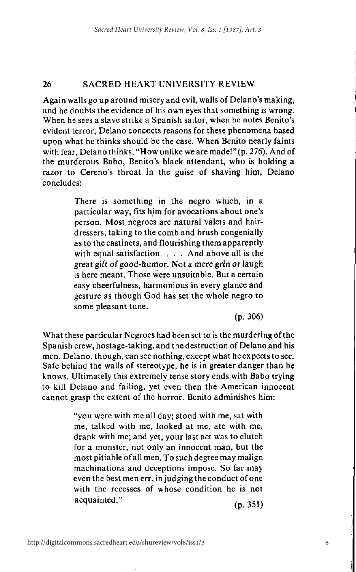Again walls go up around misery and evil, walls of Delano's making, and he doubts the evidence of his own eves that something is wrong. When he sees a slave strike a Spanish sailor, when he notes Benito's evident terror. Delano concocts reasons for these phenomena based upon what he thinks should be the case. When Benito nearly faints with fear, Delano thinks, "How unlike we are made!" (p. 276). And of the murderous Babo, Benito's black attendant, who is holding a razor to Cereno's throat in the guise of shaving him, Delano concludes:

> There is something in the negro which, in a particular way, fits him for avocations about one's person. Most negroes are natural valets and hairdressers; taking to the comb and brush congenially as to the castinets, and flourishing them apparently with equal satisfaction. . . . And above all is the great gift of good-humor. Not a mere grin or laugh is here meant. Those were unsuitable. But a certain easy cheerfulness, harmonious in every glance and gesture as though God has set the whole negro to some pleasant tune.

> > $(p. 306)$

What these particular Negroes had been set to is the murdering of the Spanish crew, hostage-taking, and the destruction of Delano and his men. Delano, though, can see nothing, except what he expects to see. Safe behind the walls of stereotype, he is in greater danger than he knows. Ultimately this extremely tense story ends with Babo trying to kill Delano and failing, yet even then the American innocent cannot grasp the extent of the horror. Benito adminishes him:

> "you were with me all day; stood with me, sat with me, talked with me, looked at me, ate with me, drank with me; and yet, your last act was to clutch for a monster, not only an innocent man, but the most pitiable of all men. To such degree may malign machinations and deceptions impose. So far may even the best men err, in judging the conduct of one with the recesses of whose condition he is not acquainted."  $(p. 351)$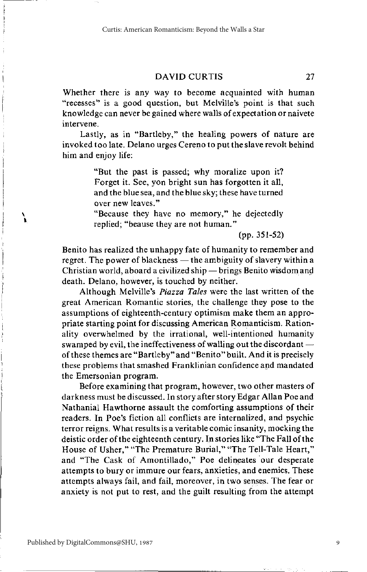Whether there is any way to become acquainted with human "recesses" is a good question, but Melville's point is that such knowledge can never be gained where walls of expectation or naivete intervene

Lastly, as in "Bartleby," the healing powers of nature are invoked too late. Delano urges Cereno to put the slave revolt behind him and eniov life:

> "But the past is passed; why moralize upon it? Forget it. See, yon bright sun has forgotten it all. and the blue sea, and the blue sky; these have turned over new leaves."

> "Because they have no memory," he dejectedly replied: "beause they are not human."

> > $(pp. 351-52)$

Benito has realized the unhappy fate of humanity to remember and regret. The power of blackness — the ambiguity of slavery within a Christian world, aboard a civilized ship — brings Benito wisdom and death. Delano, however, is touched by neither.

Although Melville's Piazza Tales were the last written of the great American Romantic stories, the challenge they pose to the assumptions of eighteenth-century optimism make them an appropriate starting point for discussing American Romanticism. Rationality overwhelmed by the irrational, well-intentioned humanity swamped by evil, the ineffectiveness of walling out the discordant  $$ of these themes are "Bartleby" and "Benito" built. And it is precisely these problems that smashed Franklinian confidence and mandated the Emersonian program.

Before examining that program, however, two other masters of darkness must be discussed. In story after story Edgar Allan Poe and Nathanial Hawthorne assault the comforting assumptions of their readers. In Poe's fiction all conflicts are internalized, and psychic terror reigns. What results is a veritable comic insanity, mocking the deistic order of the eighteenth century. In stories like "The Fall of the House of Usher," "The Premature Burial," "The Tell-Tale Heart," and "The Cask of Amontillado," Poe delineates our desperate attempts to bury or immure our fears, anxieties, and enemies. These attempts always fail, and fail, moreover, in two senses. The fear or anxiety is not put to rest, and the guilt resulting from the attempt

١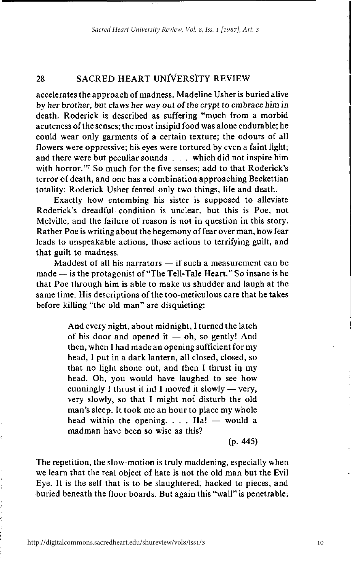accelerates the approach of madness. Madeline Usher is buried alive by her brother, but claws her way out of the crypt to embrace him in death. Roderick is described as suffering "much from a morbid acuteness of the senses; the most insipid food was alone endurable; he could wear only garments of a certain texture; the odours of all flowers were oppressive: his eves were tortured by even a faint light: and there were but peculiar sounds . . . which did not inspire him with horror." So much for the five senses; add to that Roderick's terror of death, and one has a combination approaching Beckettian totality: Roderick Usher feared only two things, life and death.

Exactly how entombing his sister is supposed to alleviate Roderick's dreadful condition is unclear, but this is Poe, not Melville, and the failure of reason is not in question in this story. Rather Poe is writing about the hegemony of fear over man, how fear leads to unspeakable actions, those actions to terrifying guilt, and that guilt to madness.

Maddest of all his narrators - if such a measurement can be made — is the protagonist of "The Tell-Tale Heart." So insane is he that Poe through him is able to make us shudder and laugh at the same time. His descriptions of the too-meticulous care that he takes before killing "the old man" are disquieting:

> And every night, about midnight, I turned the latch of his door and opened it  $-$  oh, so gently! And then, when I had made an opening sufficient for my head, I put in a dark lantern, all closed, closed, so that no light shone out, and then I thrust in my head. Oh, you would have laughed to see how cunningly I thrust it in! I moved it slowly - very, very slowly, so that I might not disturb the old man's sleep. It took me an hour to place my whole head within the opening.  $\ldots$  Ha! — would a madman have been so wise as this?

> > $(p. 445)$

The repetition, the slow-motion is truly maddening, especially when we learn that the real object of hate is not the old man but the Evil Eye. It is the self that is to be slaughtered; hacked to pieces, and buried beneath the floor boards. But again this "wall" is penetrable;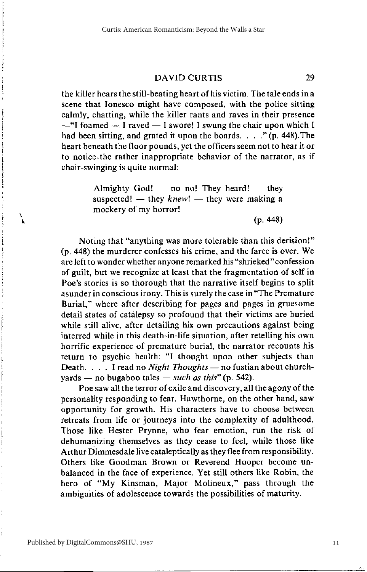the killer hears the still-beating heart of his victim. The tale ends in a scene that Ionesco might have composed, with the police sitting calmly, chatting, while the killer rants and raves in their presence  $-$ "I foamed  $-$  I raved  $-$  I swore! I swung the chair upon which I had been sitting, and grated it upon the boards.  $\ldots$  " (p. 448). The heart beneath the floor pounds, yet the officers seem not to hear it or to notice the rather inappropriate behavior of the narrator, as if chair-swinging is quite normal:

> Almighty God! - no no! They heard! - they suspected! — they  $knew!$  — they were making a mockery of my horror!

> > $(p. 448)$

29.

Noting that "anything was more tolerable than this derision!" (p. 448) the murderer confesses his crime, and the farce is over. We are left to wonder whether anyone remarked his "shrieked" confession of guilt, but we recognize at least that the fragmentation of self in Poe's stories is so thorough that the narrative itself begins to split asunder in conscious irony. This is surely the case in "The Premature" Burial," where after describing for pages and pages in gruesome detail states of catalepsy so profound that their victims are buried while still alive, after detailing his own precautions against being interred while in this death-in-life situation, after retelling his own horrific experience of premature burial, the narrator recounts his return to psychic health: "I thought upon other subjects than Death. . . . I read no Night Thoughts - no fustion about churchvards — no bugaboo tales — such as this" (p. 542).

Poe saw all the terror of exile and discovery, all the agony of the personality responding to fear. Hawthorne, on the other hand, saw opportunity for growth. His characters have to choose between retreats from life or journeys into the complexity of adulthood. Those like Hester Prynne, who fear emotion, run the risk of dehumanizing themselves as they cease to feel, while those like Arthur Dimmesdale live cataleptically as they flee from responsibility. Others like Goodman Brown or Reverend Hooper become unbalanced in the face of experience. Yet still others like Robin, the hero of "My Kinsman, Major Molineux," pass through the ambiguities of adolescence towards the possibilities of maturity.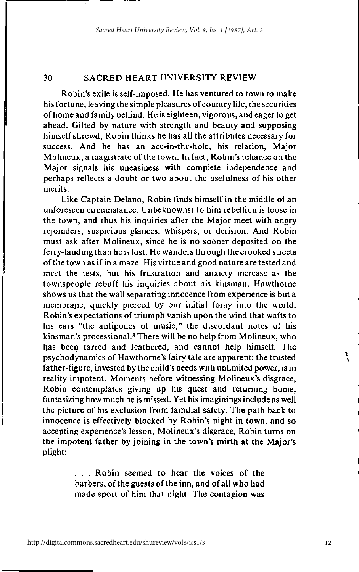Robin's exile is self-imposed. He has ventured to town to make his fortune, leaving the simple pleasures of country life, the securities of home and family behind. He is eighteen, vigorous, and eager to get ahead. Gifted by nature with strength and beauty and supposing himself shrewd, Robin thinks he has all the attributes necessary for success. And he has an ace-in-the-hole, his relation, Major Molineux, a magistrate of the town. In fact, Robin's reliance on the Major signals his uneasiness with complete independence and perhaps reflects a doubt or two about the usefulness of his other merits.

Like Captain Delano, Robin finds himself in the middle of an unforeseen circumstance. Unbeknownst to him rebellion is loose in the town, and thus his inquiries after the Major meet with angry rejoinders, suspicious glances, whispers, or derision. And Robin must ask after Molineux, since he is no sooner deposited on the ferry-landing than he is lost. He wanders through the crooked streets of the town as if in a maze. His virtue and good nature are tested and meet the tests, but his frustration and anxiety increase as the townspeople rebuff his inquiries about his kinsman. Hawthorne shows us that the wall separating innocence from experience is but a membrane, quickly pierced by our initial foray into the world. Robin's expectations of triumph vanish upon the wind that wafts to his ears "the antipodes of music," the discordant notes of his kinsman's processional.<sup>8</sup> There will be no help from Molineux, who has been tarred and feathered, and cannot help himself. The psychodynamics of Hawthorne's fairy tale are apparent: the trusted father-figure, invested by the child's needs with unlimited power, is in reality impotent. Moments before witnessing Molineux's disgrace, Robin contemplates giving up his quest and returning home, fantasizing how much he is missed. Yet his imaginings include as well the picture of his exclusion from familial safety. The path back to innocence is effectively blocked by Robin's night in town, and so accepting experience's lesson, Molineux's disgrace, Robin turns on the impotent father by joining in the town's mirth at the Major's plight:

> ... Robin seemed to hear the voices of the barbers, of the guests of the inn, and of all who had made sport of him that night. The contagion was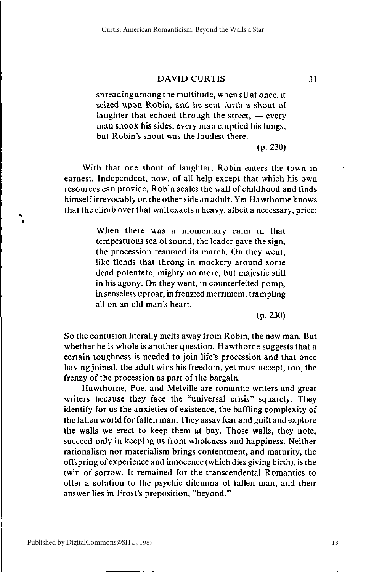spreading among the multitude, when all at once, it seized upon Robin, and he sent forth a shout of laughter that echoed through the street,  $-$  every man shook his sides, every man emptied his lungs, but Robin's shout was the loudest there.

 $(p. 230)$ 

With that one shout of laughter, Robin enters the town in earnest. Independent, now, of all help except that which his own resources can provide, Robin scales the wall of childhood and finds himself irrevocably on the other side an adult. Yet Hawthorne knows that the climb over that wall exacts a heavy, albeit a necessary, price:

> When there was a momentary calm in that tempestuous sea of sound, the leader gave the sign. the procession resumed its march. On they went, like fiends that throng in mockery around some dead potentate, mighty no more, but majestic still in his agony. On they went, in counterfeited pomp, in senseless uproar, in frenzied merriment, trampling all on an old man's heart.

> > $(p. 230)$

So the confusion literally melts away from Robin, the new man. But whether he is whole is another question. Hawthorne suggests that a certain toughness is needed to join life's procession and that once having joined, the adult wins his freedom, yet must accept, too, the frenzy of the procession as part of the bargain.

Hawthorne, Poe, and Melville are romantic writers and great writers because they face the "universal crisis" squarely. They identify for us the anxieties of existence, the baffling complexity of the fallen world for fallen man. They assay fear and guilt and explore the walls we erect to keep them at bay. Those walls, they note, succeed only in keeping us from wholeness and happiness. Neither rationalism nor materialism brings contentment, and maturity, the offspring of experience and innocence (which dies giving birth), is the twin of sorrow. It remained for the transcendental Romantics to offer a solution to the psychic dilemma of fallen man, and their answer lies in Frost's preposition, "beyond."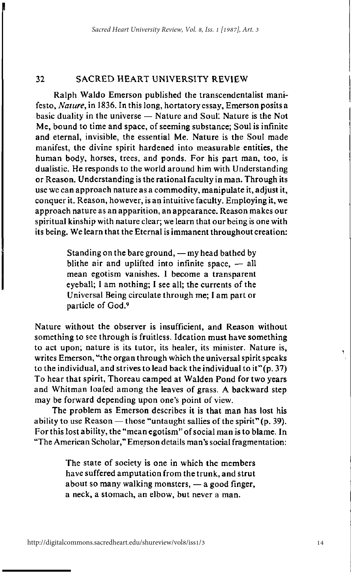Ralph Waldo Emerson published the transcendentalist manifesto, Nature, in 1836. In this long, hortatory essay, Emerson posits a basic duality in the universe  $-$  Nature and Soul. Nature is the Not Me, bound to time and space, of seeming substance; Soul is infinite and eternal, invisible, the essential Me. Nature is the Soul made manifest, the divine spirit hardened into measurable entities, the human body, horses, trees, and ponds. For his part man, too, is dualistic. He responds to the world around him with Understanding or Reason. Understanding is the rational faculty in man. Through its use we can approach nature as a commodity, manipulate it, adjust it, conquer it. Reason, however, is an intuitive faculty. Employing it, we approach nature as an apparition, an appearance. Reason makes our spiritual kinship with nature clear; we learn that our being is one with its being. We learn that the Eternal is immanent throughout creation:

> Standing on the bare ground, — my head bathed by blithe air and uplifted into infinite space, - all mean egotism vanishes. I become a transparent eyeball; I am nothing; I see all; the currents of the Universal Being circulate through me; I am part or particle of God.9

Nature without the observer is insufficient, and Reason without something to see through is fruitless. Ideation must have something to act upon; nature is its tutor, its healer, its minister. Nature is, writes Emerson, "the organ through which the universal spirit speaks to the individual, and strives to lead back the individual to it" $(p, 37)$ To hear that spirit, Thoreau camped at Walden Pond for two years and Whitman loafed among the leaves of grass. A backward step may be forward depending upon one's point of view.

The problem as Emerson describes it is that man has lost his ability to use Reason  $-$  those "untaught sallies of the spirit"  $(p. 39)$ . For this lost ability, the "mean egotism" of social man is to blame. In "The American Scholar," Emerson details man's social fragmentation:

> The state of society is one in which the members have suffered amputation from the trunk, and strut about so many walking monsters, — a good finger, a neck, a stomach, an elbow, but never a man.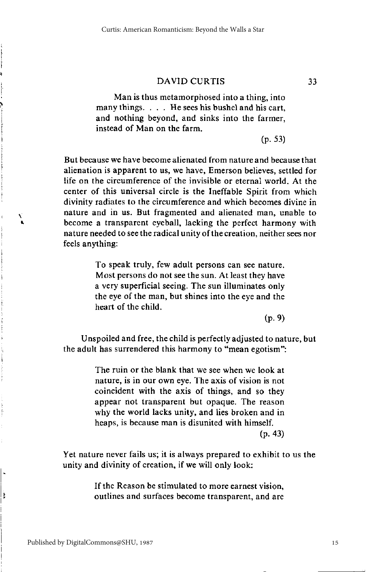Man is thus metamorphosed into a thing, into many things. . . . He sees his bushel and his cart. and nothing beyond, and sinks into the farmer. instead of Man on the farm.

 $(p. 53)$ 

33

But because we have become alienated from nature and because that alienation is apparent to us, we have. Emerson believes, settled for life on the circumference of the invisible or eternal world. At the center of this universal circle is the Ineffable Spirit from which divinity radiates to the circumference and which becomes divine in nature and in us. But fragmented and alienated man, unable to become a transparent eveball, lacking the perfect harmony with nature needed to see the radical unity of the creation, neither sees nor feels anything:

> To speak truly, few adult persons can see nature. Most persons do not see the sun. At least they have a very superficial seeing. The sun illuminates only the eye of the man, but shines into the eye and the heart of the child.

> > $(p, 9)$

Unspoiled and free, the child is perfectly adjusted to nature, but the adult has surrendered this harmony to "mean egotism":

> The ruin or the blank that we see when we look at nature, is in our own eye. The axis of vision is not coincident with the axis of things, and so they appear not transparent but opaque. The reason why the world lacks unity, and lies broken and in heaps, is because man is disunited with himself.  $(p. 43)$

Yet nature never fails us; it is always prepared to exhibit to us the unity and divinity of creation, if we will only look:

> If the Reason be stimulated to more earnest vision, outlines and surfaces become transparent, and are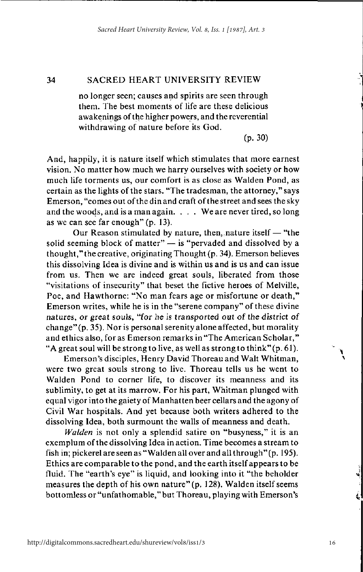no longer seen: causes and spirits are seen through them. The best moments of life are these delicious awakenings of the higher powers, and the reverential withdrawing of nature before its God.

 $(p. 30)$ 

And, happily, it is nature itself which stimulates that more earnest vision. No matter how much we harry ourselves with society or how much life torments us, our comfort is as close as Walden Pond, as certain as the lights of the stars. "The tradesman, the attorney," says Emerson, "comes out of the din and craft of the street and sees the sky and the woods, and is a man again. . . . We are never tired, so long as we can see far enough" (p. 13).

Our Reason stimulated by nature, then, nature itself — "the solid seeming block of matter" - is "pervaded and dissolved by a thought," the creative, originating Thought (p. 34). Emerson believes this dissolving Idea is divine and is within us and is us and can issue from us. Then we are indeed great souls, liberated from those "visitations of insecurity" that beset the fictive heroes of Melville, Poe, and Hawthorne: "No man fears age or misfortune or death," Emerson writes, while he is in the "serene company" of these divine natures, or great souls, "for he is transported out of the district of change" (p. 35). Nor is personal serenity alone affected, but morality and ethics also, for as Emerson remarks in "The American Scholar," "A great soul will be strong to live, as well as strong to think" (p. 61).

Emerson's disciples, Henry David Thoreau and Walt Whitman, were two great souls strong to live. Thoreau tells us he went to Walden Pond to corner life, to discover its meanness and its sublimity, to get at its marrow. For his part, Whitman plunged with equal vigor into the gaiety of Manhatten beer cellars and the agony of Civil War hospitals. And yet because both writers adhered to the dissolving Idea, both surmount the walls of meanness and death.

Walden is not only a splendid satire on "busyness," it is an exemplum of the dissolving Idea in action. Time becomes a stream to fish in; pickerel are seen as "Walden all over and all through" (p. 195). Ethics are comparable to the pond, and the earth itself appears to be fluid. The "earth's eye" is liquid, and looking into it "the beholder measures the depth of his own nature" (p. 128). Walden itself seems bottomless or "unfathomable," but Thoreau, playing with Emerson's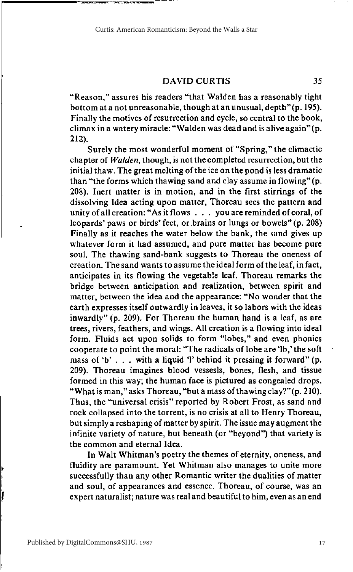"Reason," assures his readers "that Walden has a reasonably tight bottom at a not unreasonable, though at an unusual, depth" (p. 195). Finally the motives of resurrection and cycle, so central to the book, climax in a watery miracle: "Walden was dead and is alive again" (p.  $212$ ).

Surely the most wonderful moment of "Spring," the climactic chapter of *Walden*, though, is not the completed resurrection, but the initial thaw. The great melting of the ice on the pond is less dramatic than "the forms which thawing sand and clay assume in flowing" (p. 208). Inert matter is in motion, and in the first stirrings of the dissolving Idea acting upon matter, Thoreau sees the pattern and unity of all creation: "As it flows . . . you are reminded of coral, of leopards' paws or birds' feet, or brains or lungs or bowels" (p. 208) Finally as it reaches the water below the bank, the sand gives up whatever form it had assumed, and pure matter has become pure soul. The thawing sand-bank suggests to Thoreau the oneness of creation. The sand wants to assume the ideal form of the leaf, in fact, anticipates in its flowing the vegetable leaf. Thoreau remarks the bridge between anticipation and realization, between spirit and matter, between the idea and the appearance: "No wonder that the earth expresses itself outwardly in leaves, it so labors with the ideas inwardly" (p. 209). For Thoreau the human hand is a leaf, as are trees, rivers, feathers, and wings. All creation is a flowing into ideal form. Fluids act upon solids to form "lobes," and even phonics cooperate to point the moral: "The radicals of lobe are 'lb,' the soft mass of 'b'... with a liquid 'l' behind it pressing it forward" (p. 209). Thoreau imagines blood vessesls, bones, flesh, and tissue formed in this way; the human face is pictured as congealed drops. "What is man," asks Thoreau, "but a mass of thawing clay?" (p. 210). Thus, the "universal crisis" reported by Robert Frost, as sand and rock collapsed into the torrent, is no crisis at all to Henry Thoreau, but simply a reshaping of matter by spirit. The issue may augment the infinite variety of nature, but beneath (or "beyond") that variety is the common and eternal Idea.

In Walt Whitman's poetry the themes of eternity, oneness, and fluidity are paramount. Yet Whitman also manages to unite more successfully than any other Romantic writer the dualities of matter and soul, of appearances and essence. Thoreau, of course, was an expert naturalist; nature was real and beautiful to him, even as an end

 $35$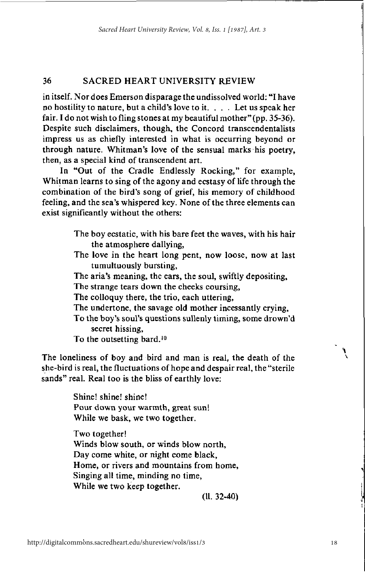in itself. Nor does Emerson disparage the undissolved world: "I have no hostility to nature, but a child's love to it. . . . Let us speak her fair. I do not wish to fling stones at my beautiful mother" (pp. 35-36). Despite such disclaimers, though, the Concord transcendentalists impress us as chiefly interested in what is occurring beyond or through nature. Whitman's love of the sensual marks his poetry, then, as a special kind of transcendent art.

In "Out of the Cradle Endlessly Rocking," for example. Whitman learns to sing of the agony and ecstasy of life through the combination of the bird's song of grief, his memory of childhood feeling, and the sea's whispered key. None of the three elements can exist significantly without the others:

- The boy ecstatic, with his bare feet the waves, with his hair the atmosphere dallying,
- The love in the heart long pent, now loose, now at last tumultuously bursting,
- The aria's meaning, the ears, the soul, swiftly depositing.
- The strange tears down the cheeks coursing,
- The colloquy there, the trio, each uttering,
- The undertone, the savage old mother incessantly crying.
- To the boy's soul's questions sullenly timing, some drown'd secret hissing.
- To the outsetting bard.<sup>10</sup>

The loneliness of boy and bird and man is real, the death of the she-bird is real, the fluctuations of hope and despair real, the "sterile" sands" real. Real too is the bliss of earthly love:

> Shine! shine! shine! Pour down your warmth, great sun! While we bask, we two together.

Two together! Winds blow south, or winds blow north, Day come white, or night come black, Home, or rivers and mountains from home, Singing all time, minding no time, While we two keep together.

 $(11.32 - 40)$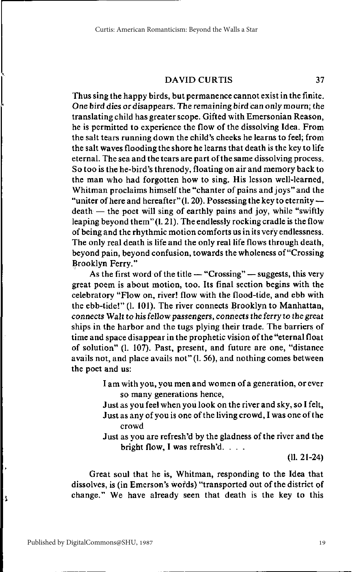Thus sing the happy birds, but permanence cannot exist in the finite. One bird dies or disappears. The remaining bird can only mourn; the translating child has greater scope. Gifted with Emersonian Reason, he is permitted to experience the flow of the dissolving Idea. From the salt tears running down the child's cheeks he learns to feel; from the salt waves flooding the shore he learns that death is the key to life eternal. The sea and the tears are part of the same dissolving process. So too is the he-bird's threnody, floating on air and memory back to the man who had forgotten how to sing. His lesson well-learned, Whitman proclaims himself the "chanter of pains and joys" and the "uniter of here and hereafter" (1. 20). Possessing the key to eternity  $death$  — the noet will sing of earthly pains and joy, while "swiftly" leaping beyond them" (1. 21). The endlessly rocking cradle is the flow of being and the rhythmic motion comforts us in its very endlessness. The only real death is life and the only real life flows through death. beyond pain, beyond confusion, towards the wholeness of "Crossing" Brooklyn Ferry."

As the first word of the title  $-$  "Crossing"  $-$  suggests, this very great poem is about motion, too. Its final section begins with the celebratory "Flow on, river! flow with the flood-tide, and ebb with the ebb-tide!" (l. 101). The river connects Brooklyn to Manhattan, connects Walt to his fellow passengers, connects the ferry to the great ships in the harbor and the tugs plying their trade. The barriers of time and space disappear in the prophetic vision of the "eternal float of solution" (l. 107). Past, present, and future are one, "distance avails not, and place avails not" (1, 56), and nothing comes between the poet and us:

- I am with you, you men and women of a generation, or ever so many generations hence,
- Just as you feel when you look on the river and sky, so I felt, Just as any of you is one of the living crowd, I was one of the crowd
- Just as you are refresh'd by the gladness of the river and the bright flow, I was refresh'd. . . .

 $(11. 21-24)$ 

37

Great soul that he is, Whitman, responding to the Idea that dissolves, is (in Emerson's words) "transported out of the district of change." We have already seen that death is the key to this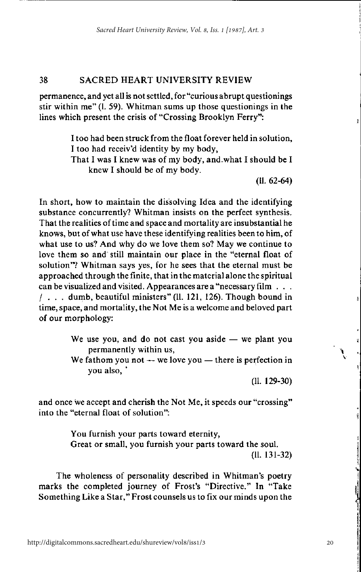permanence, and yet all is not settled, for "curious abrupt questionings" stir within me" (1, 59). Whitman sums up those questionings in the lines which present the crisis of "Crossing Brooklyn Ferry":

> I too had been struck from the float forever held in solution, I too had receiv'd identity by my body,

> That I was I knew was of my body, and what I should be I knew I should be of my body.

> > $(11.62-64)$

In short, how to maintain the dissolving Idea and the identifying substance concurrently? Whitman insists on the perfect synthesis. That the realities of time and space and mortality are insubstantial he knows, but of what use have these identifying realities been to him, of what use to us? And why do we love them so? May we continue to love them so and still maintain our place in the "eternal float of solution"? Whitman says yes, for he sees that the eternal must be approached through the finite, that in the material alone the spiritual can be visualized and visited. Appearances are a "necessary film . . .  $/$  . . . dumb, beautiful ministers" (ll. 121, 126). Though bound in time, space, and mortality, the Not Me is a welcome and beloved part of our morphology:

> We use you, and do not cast you aside  $-$  we plant you permanently within us.

> We fathom you not  $-$  we love you  $-$  there is perfection in you also,

> > $(11. 129-30)$

and once we accept and cherish the Not Me, it speeds our "crossing" into the "eternal float of solution":

> You furnish your parts toward eternity, Great or small, you furnish your parts toward the soul.  $(11. 131 - 32)$

The wholeness of personality described in Whitman's poetry marks the completed journey of Frost's "Directive." In "Take Something Like a Star," Frost counsels us to fix our minds upon the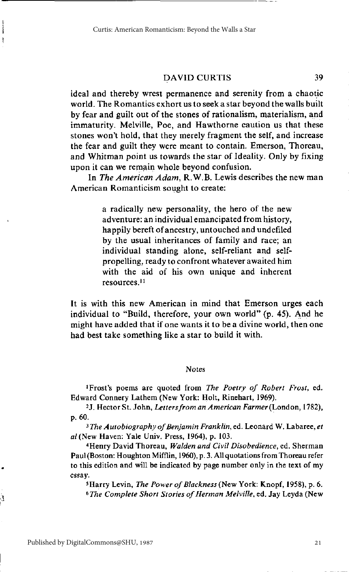ideal and thereby wrest permanence and serenity from a chaotic world. The Romantics exhort us to seek a star beyond the walls built by fear and guilt out of the stones of rationalism, materialism, and immaturity. Melville, Poe, and Hawthorne caution us that these stones won't hold, that they merely fragment the self, and increase the fear and guilt they were meant to contain. Emerson, Thoreau, and Whitman point us towards the star of Ideality. Only by fixing upon it can we remain whole beyond confusion.

In The American Adam, R.W.B. Lewis describes the new man American Romanticism sought to create:

> a radically new personality, the hero of the new adventure: an individual emancipated from history, happily bereft of ancestry, untouched and undefiled by the usual inheritances of family and race; an individual standing alone, self-reliant and selfpropelling, ready to confront whatever awaited him with the aid of his own unique and inherent resources.<sup>11</sup>

It is with this new American in mind that Emerson urges each individual to "Build, therefore, your own world" (p. 45). And he might have added that if one wants it to be a divine world, then one had best take something like a star to build it with.

### Notes

<sup>1</sup>Frost's poems are quoted from The Poetry of Robert Frost, ed. Edward Connery Lathem (New York: Holt, Rinehart, 1969).

<sup>2</sup>J. Hector St. John, Letters from an American Farmer (London, 1782), p. 60.

<sup>3</sup>The Autobiography of Benjamin Franklin, ed. Leonard W. Labaree, et al (New Haven: Yale Univ. Press, 1964), p. 103.

<sup>4</sup>Henry David Thoreau, Walden and Civil Disobedience, ed. Sherman Paul (Boston: Houghton Mifflin, 1960), p. 3. All quotations from Thoreau refer to this edition and will be indicated by page number only in the text of my essay.

<sup>5</sup>Harry Levin, The Power of Blackness (New York: Knopf, 1958), p. 6. <sup>6</sup>The Complete Short Stories of Herman Melville, ed. Jay Leyda (New

39